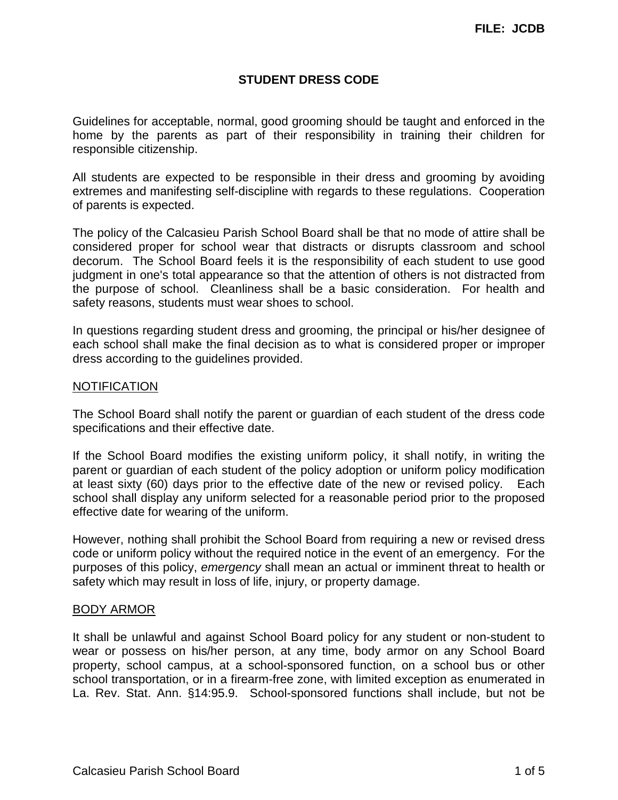# **STUDENT DRESS CODE**

Guidelines for acceptable, normal, good grooming should be taught and enforced in the home by the parents as part of their responsibility in training their children for responsible citizenship.

All students are expected to be responsible in their dress and grooming by avoiding extremes and manifesting self-discipline with regards to these regulations. Cooperation of parents is expected.

The policy of the Calcasieu Parish School Board shall be that no mode of attire shall be considered proper for school wear that distracts or disrupts classroom and school decorum. The School Board feels it is the responsibility of each student to use good judgment in one's total appearance so that the attention of others is not distracted from the purpose of school. Cleanliness shall be a basic consideration. For health and safety reasons, students must wear shoes to school.

In questions regarding student dress and grooming, the principal or his/her designee of each school shall make the final decision as to what is considered proper or improper dress according to the guidelines provided.

# NOTIFICATION

The School Board shall notify the parent or guardian of each student of the dress code specifications and their effective date.

If the School Board modifies the existing uniform policy, it shall notify, in writing the parent or guardian of each student of the policy adoption or uniform policy modification at least sixty (60) days prior to the effective date of the new or revised policy. Each school shall display any uniform selected for a reasonable period prior to the proposed effective date for wearing of the uniform.

However, nothing shall prohibit the School Board from requiring a new or revised dress code or uniform policy without the required notice in the event of an emergency. For the purposes of this policy, *emergency* shall mean an actual or imminent threat to health or safety which may result in loss of life, injury, or property damage.

#### BODY ARMOR

It shall be unlawful and against School Board policy for any student or non-student to wear or possess on his/her person, at any time, body armor on any School Board property, school campus, at a school-sponsored function, on a school bus or other school transportation, or in a firearm-free zone, with limited exception as enumerated in La. Rev. Stat. Ann. §14:95.9. School-sponsored functions shall include, but not be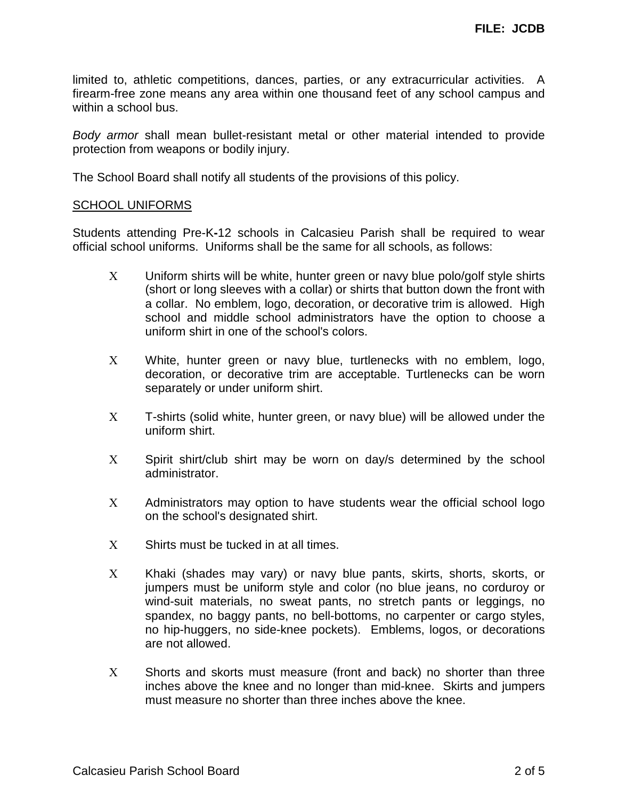limited to, athletic competitions, dances, parties, or any extracurricular activities. A firearm-free zone means any area within one thousand feet of any school campus and within a school bus.

*Body armor* shall mean bullet-resistant metal or other material intended to provide protection from weapons or bodily injury.

The School Board shall notify all students of the provisions of this policy.

#### SCHOOL UNIFORMS

Students attending Pre-K**-**12 schools in Calcasieu Parish shall be required to wear official school uniforms. Uniforms shall be the same for all schools, as follows:

- Χ Uniform shirts will be white, hunter green or navy blue polo/golf style shirts (short or long sleeves with a collar) or shirts that button down the front with a collar. No emblem, logo, decoration, or decorative trim is allowed. High school and middle school administrators have the option to choose a uniform shirt in one of the school's colors.
- Χ White, hunter green or navy blue, turtlenecks with no emblem, logo, decoration, or decorative trim are acceptable. Turtlenecks can be worn separately or under uniform shirt.
- Χ T-shirts (solid white, hunter green, or navy blue) will be allowed under the uniform shirt.
- X Spirit shirt/club shirt may be worn on day/s determined by the school administrator.
- Χ Administrators may option to have students wear the official school logo on the school's designated shirt.
- Χ Shirts must be tucked in at all times.
- X Khaki (shades may vary) or navy blue pants, skirts, shorts, skorts, or jumpers must be uniform style and color (no blue jeans, no corduroy or wind-suit materials, no sweat pants, no stretch pants or leggings, no spandex, no baggy pants, no bell-bottoms, no carpenter or cargo styles, no hip-huggers, no side-knee pockets). Emblems, logos, or decorations are not allowed.
- Χ Shorts and skorts must measure (front and back) no shorter than three inches above the knee and no longer than mid-knee. Skirts and jumpers must measure no shorter than three inches above the knee.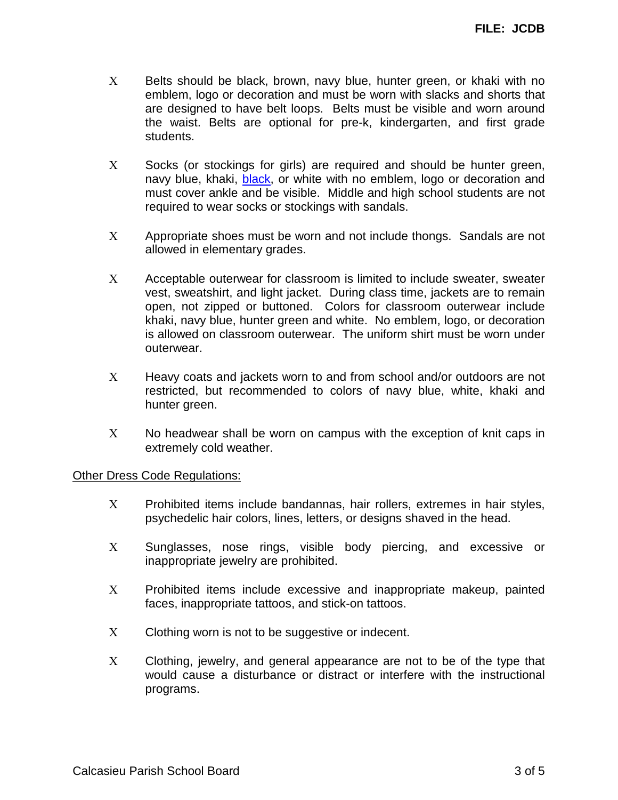- X Belts should be black, brown, navy blue, hunter green, or khaki with no emblem, logo or decoration and must be worn with slacks and shorts that are designed to have belt loops. Belts must be visible and worn around the waist. Belts are optional for pre-k, kindergarten, and first grade students.
- X Socks (or stockings for girls) are required and should be hunter green, navy blue, khaki, black, or white with no emblem, logo or decoration and must cover ankle and be visible. Middle and high school students are not required to wear socks or stockings with sandals.
- Χ Appropriate shoes must be worn and not include thongs. Sandals are not allowed in elementary grades.
- Χ Acceptable outerwear for classroom is limited to include sweater, sweater vest, sweatshirt, and light jacket. During class time, jackets are to remain open, not zipped or buttoned. Colors for classroom outerwear include khaki, navy blue, hunter green and white. No emblem, logo, or decoration is allowed on classroom outerwear. The uniform shirt must be worn under outerwear.
- Χ Heavy coats and jackets worn to and from school and/or outdoors are not restricted, but recommended to colors of navy blue, white, khaki and hunter green.
- Χ No headwear shall be worn on campus with the exception of knit caps in extremely cold weather.

#### Other Dress Code Regulations:

- Χ Prohibited items include bandannas, hair rollers, extremes in hair styles, psychedelic hair colors, lines, letters, or designs shaved in the head.
- Χ Sunglasses, nose rings, visible body piercing, and excessive or inappropriate jewelry are prohibited.
- Χ Prohibited items include excessive and inappropriate makeup, painted faces, inappropriate tattoos, and stick-on tattoos.
- Χ Clothing worn is not to be suggestive or indecent.
- Χ Clothing, jewelry, and general appearance are not to be of the type that would cause a disturbance or distract or interfere with the instructional programs.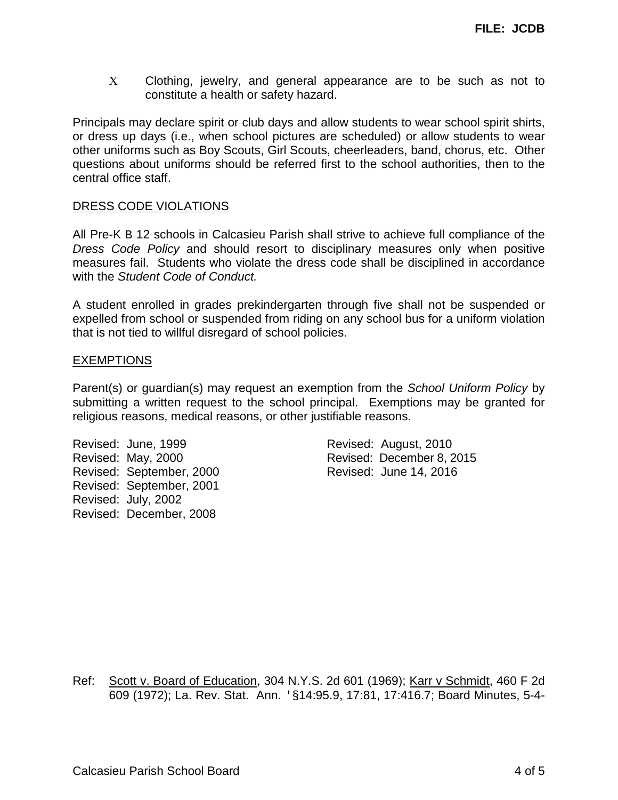Χ Clothing, jewelry, and general appearance are to be such as not to constitute a health or safety hazard.

Principals may declare spirit or club days and allow students to wear school spirit shirts, or dress up days (i.e., when school pictures are scheduled) or allow students to wear other uniforms such as Boy Scouts, Girl Scouts, cheerleaders, band, chorus, etc. Other questions about uniforms should be referred first to the school authorities, then to the central office staff.

# DRESS CODE VIOLATIONS

All Pre-K B 12 schools in Calcasieu Parish shall strive to achieve full compliance of the *Dress Code Policy* and should resort to disciplinary measures only when positive measures fail. Students who violate the dress code shall be disciplined in accordance with the *Student Code of Conduct.*

A student enrolled in grades prekindergarten through five shall not be suspended or expelled from school or suspended from riding on any school bus for a uniform violation that is not tied to willful disregard of school policies.

# EXEMPTIONS

Parent(s) or guardian(s) may request an exemption from the *School Uniform Policy* by submitting a written request to the school principal. Exemptions may be granted for religious reasons, medical reasons, or other justifiable reasons.

Revised: June, 1999 Revised: August, 2010 Revised: September, 2000 Revised: June 14, 2016 Revised: September, 2001 Revised: July, 2002 Revised: December, 2008

Revised: May, 2000 Revised: December 8, 2015

Ref: Scott v. Board of Education, 304 N.Y.S. 2d 601 (1969); Karr v Schmidt, 460 F 2d 609 (1972); La. Rev. Stat. Ann. '§14:95.9, 17:81, 17:416.7; Board Minutes, 5-4